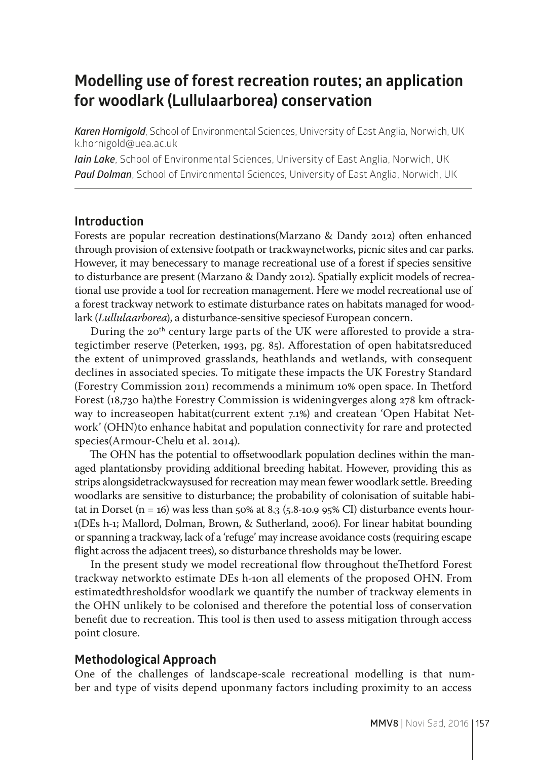# **Modelling use of forest recreation routes; an application for woodlark (Lullulaarborea) conservation**

*Karen Hornigold*, School of Environmental Sciences, University of East Anglia, Norwich, UK k.hornigold@uea.ac.uk

*Iain Lake*, School of Environmental Sciences, University of East Anglia, Norwich, UK *Paul Dolman*, School of Environmental Sciences, University of East Anglia, Norwich, UK

#### **Introduction**

Forests are popular recreation destinations(Marzano & Dandy 2012) often enhanced through provision of extensive footpath or trackwaynetworks, picnic sites and car parks. However, it may benecessary to manage recreational use of a forest if species sensitive to disturbance are present (Marzano & Dandy 2012). Spatially explicit models of recreational use provide a tool for recreation management. Here we model recreational use of a forest trackway network to estimate disturbance rates on habitats managed for woodlark (*Lullulaarborea*), a disturbance-sensitive speciesof European concern.

During the 20<sup>th</sup> century large parts of the UK were afforested to provide a strategictimber reserve (Peterken, 1993, pg. 85). Afforestation of open habitatsreduced the extent of unimproved grasslands, heathlands and wetlands, with consequent declines in associated species. To mitigate these impacts the UK Forestry Standard (Forestry Commission 2011) recommends a minimum 10% open space. In Thetford Forest (18,730 ha)the Forestry Commission is wideningverges along 278 km oftrackway to increaseopen habitat(current extent 7.1%) and createan 'Open Habitat Network' (OHN)to enhance habitat and population connectivity for rare and protected species(Armour-Chelu et al. 2014).

The OHN has the potential to offsetwoodlark population declines within the managed plantationsby providing additional breeding habitat. However, providing this as strips alongsidetrackwaysused for recreation may mean fewer woodlark settle. Breeding woodlarks are sensitive to disturbance; the probability of colonisation of suitable habitat in Dorset (n = 16) was less than  $50\%$  at 8.3 (5.8-10.9  $95\%$  CI) disturbance events hour-1(DEs h-1; Mallord, Dolman, Brown, & Sutherland, 2006). For linear habitat bounding or spanning a trackway, lack of a 'refuge' may increase avoidance costs (requiring escape flight across the adjacent trees), so disturbance thresholds may be lower.

In the present study we model recreational flow throughout theThetford Forest trackway networkto estimate DEs h-1on all elements of the proposed OHN. From estimatedthresholdsfor woodlark we quantify the number of trackway elements in the OHN unlikely to be colonised and therefore the potential loss of conservation benefit due to recreation. This tool is then used to assess mitigation through access point closure.

### **Methodological Approach**

One of the challenges of landscape-scale recreational modelling is that number and type of visits depend uponmany factors including proximity to an access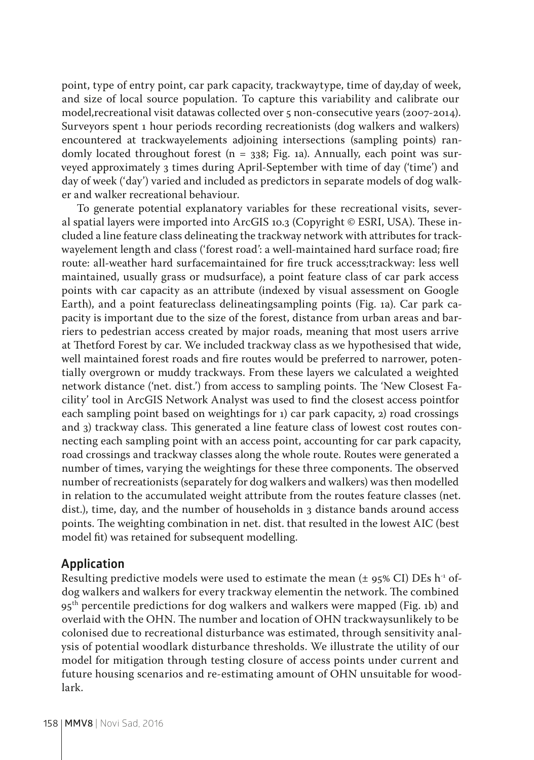point, type of entry point, car park capacity, trackwaytype, time of day,day of week, and size of local source population. To capture this variability and calibrate our model,recreational visit datawas collected over 5 non-consecutive years (2007-2014). Surveyors spent 1 hour periods recording recreationists (dog walkers and walkers) encountered at trackwayelements adjoining intersections (sampling points) randomly located throughout forest  $(n = 338; Fig. 1a)$ . Annually, each point was surveyed approximately 3 times during April-September with time of day ('time') and day of week ('day') varied and included as predictors in separate models of dog walker and walker recreational behaviour.

To generate potential explanatory variables for these recreational visits, several spatial layers were imported into ArcGIS 10.3 (Copyright © ESRI, USA). These included a line feature class delineating the trackway network with attributes for trackwayelement length and class ('forest road': a well-maintained hard surface road; fire route: all-weather hard surfacemaintained for fire truck access;trackway: less well maintained, usually grass or mudsurface), a point feature class of car park access points with car capacity as an attribute (indexed by visual assessment on Google Earth), and a point featureclass delineatingsampling points (Fig. 1a). Car park capacity is important due to the size of the forest, distance from urban areas and barriers to pedestrian access created by major roads, meaning that most users arrive at Thetford Forest by car. We included trackway class as we hypothesised that wide, well maintained forest roads and fire routes would be preferred to narrower, potentially overgrown or muddy trackways. From these layers we calculated a weighted network distance ('net. dist.') from access to sampling points. The 'New Closest Facility' tool in ArcGIS Network Analyst was used to find the closest access pointfor each sampling point based on weightings for 1) car park capacity, 2) road crossings and 3) trackway class. This generated a line feature class of lowest cost routes connecting each sampling point with an access point, accounting for car park capacity, road crossings and trackway classes along the whole route. Routes were generated a number of times, varying the weightings for these three components. The observed number of recreationists (separately for dog walkers and walkers) was then modelled in relation to the accumulated weight attribute from the routes feature classes (net. dist.), time, day, and the number of households in 3 distance bands around access points. The weighting combination in net. dist. that resulted in the lowest AIC (best model fit) was retained for subsequent modelling.

## **Application**

Resulting predictive models were used to estimate the mean ( $\pm$  95% CI) DEs h<sup>-1</sup> ofdog walkers and walkers for every trackway elementin the network. The combined 95<sup>th</sup> percentile predictions for dog walkers and walkers were mapped (Fig. 1b) and overlaid with the OHN. The number and location of OHN trackwaysunlikely to be colonised due to recreational disturbance was estimated, through sensitivity analysis of potential woodlark disturbance thresholds. We illustrate the utility of our model for mitigation through testing closure of access points under current and future housing scenarios and re-estimating amount of OHN unsuitable for woodlark.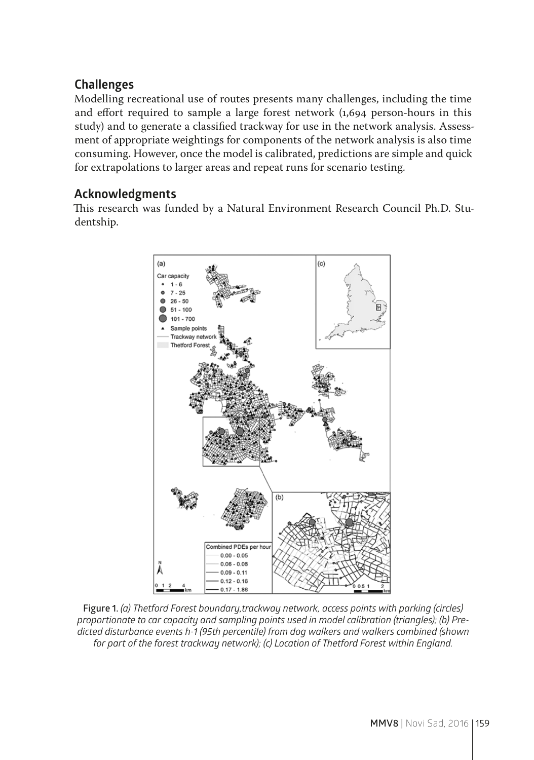## **Challenges**

Modelling recreational use of routes presents many challenges, including the time and effort required to sample a large forest network (1,694 person-hours in this study) and to generate a classified trackway for use in the network analysis. Assessment of appropriate weightings for components of the network analysis is also time consuming. However, once the model is calibrated, predictions are simple and quick for extrapolations to larger areas and repeat runs for scenario testing.

# **Acknowledgments**

This research was funded by a Natural Environment Research Council Ph.D. Studentship.



**Figure 1.** *(a) Thetford Forest boundary,trackway network, access points with parking (circles) proportionate to car capacity and sampling points used in model calibration (triangles); (b) Predicted disturbance events h-1 (95th percentile) from dog walkers and walkers combined (shown for part of the forest trackway network); (c) Location of Thetford Forest within England.*